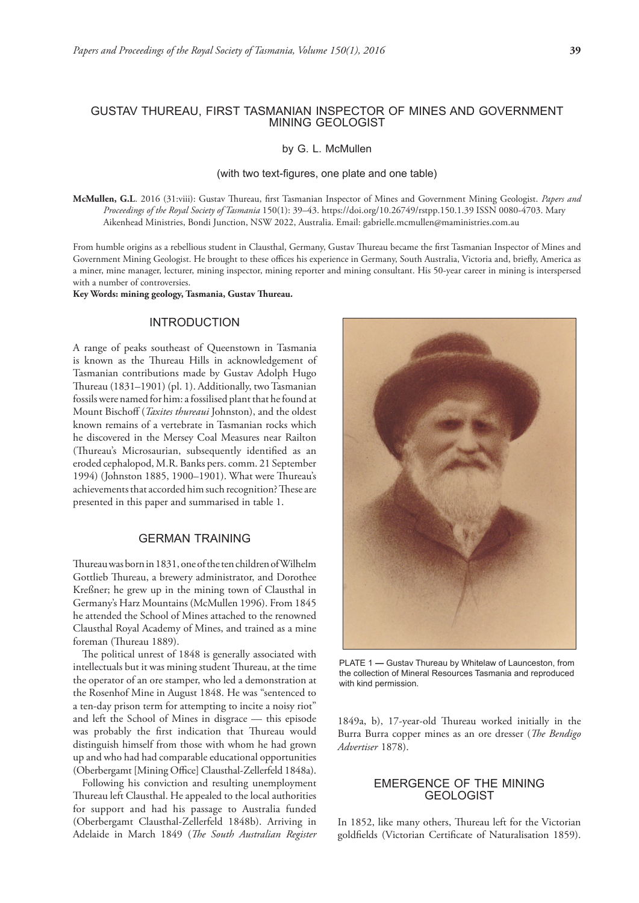by G. L. McMullen

#### (with two text-figures, one plate and one table)

**McMullen, G.L**. 2016 (31:viii): Gustav Thureau, first Tasmanian Inspector of Mines and Government Mining Geologist. *Papers and Proceedings of the Royal Society of Tasmania* 150(1): 39–43. https://doi.org/10.26749/rstpp.150.1.39 ISSN 0080-4703. Mary Aikenhead Ministries, Bondi Junction, NSW 2022, Australia. Email: gabrielle.mcmullen@maministries.com.au

From humble origins as a rebellious student in Clausthal, Germany, Gustav Thureau became the first Tasmanian Inspector of Mines and Government Mining Geologist. He brought to these offices his experience in Germany, South Australia, Victoria and, briefly, America as a miner, mine manager, lecturer, mining inspector, mining reporter and mining consultant. His 50-year career in mining is interspersed with a number of controversies.

**Key Words: mining geology, Tasmania, Gustav Thureau.**

## INTRODUCTION

A range of peaks southeast of Queenstown in Tasmania is known as the Thureau Hills in acknowledgement of Tasmanian contributions made by Gustav Adolph Hugo Thureau (1831–1901) (pl. 1). Additionally, two Tasmanian fossils were named for him: a fossilised plant that he found at Mount Bischoff (*Taxites thureaui* Johnston), and the oldest known remains of a vertebrate in Tasmanian rocks which he discovered in the Mersey Coal Measures near Railton (Thureau's Microsaurian, subsequently identified as an eroded cephalopod, M.R. Banks pers. comm. 21 September 1994) (Johnston 1885, 1900–1901). What were Thureau's achievements that accorded him such recognition? These are presented in this paper and summarised in table 1.

## GERMAN TRAINING

Thureau was born in 1831, one of the ten children of Wilhelm Gottlieb Thureau, a brewery administrator, and Dorothee Kreßner; he grew up in the mining town of Clausthal in Germany's Harz Mountains (McMullen 1996). From 1845 he attended the School of Mines attached to the renowned Clausthal Royal Academy of Mines, and trained as a mine foreman (Thureau 1889).

The political unrest of 1848 is generally associated with intellectuals but it was mining student Thureau, at the time the operator of an ore stamper, who led a demonstration at the Rosenhof Mine in August 1848. He was "sentenced to a ten-day prison term for attempting to incite a noisy riot" and left the School of Mines in disgrace — this episode was probably the first indication that Thureau would distinguish himself from those with whom he had grown up and who had had comparable educational opportunities (Oberbergamt [Mining Office] Clausthal-Zellerfeld 1848a).

Following his conviction and resulting unemployment Thureau left Clausthal. He appealed to the local authorities for support and had his passage to Australia funded (Oberbergamt Clausthal-Zellerfeld 1848b). Arriving in Adelaide in March 1849 (*The South Australian Register* 



PLATE 1 **—** Gustav Thureau by Whitelaw of Launceston, from the collection of Mineral Resources Tasmania and reproduced with kind permission.

1849a, b), 17-year-old Thureau worked initially in the Burra Burra copper mines as an ore dresser (*The Bendigo Advertiser* 1878).

### EMERGENCE OF THE MINING GEOLOGIST

In 1852, like many others, Thureau left for the Victorian goldfields (Victorian Certificate of Naturalisation 1859).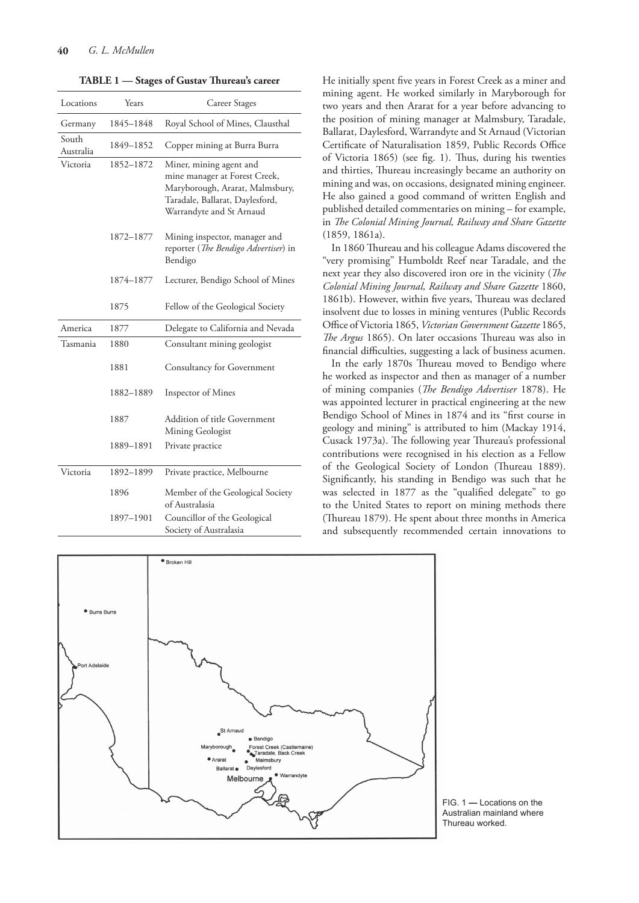| TABLE 1 - Stages of Gustav Thureau's career |           |                                                                                                                                                            |
|---------------------------------------------|-----------|------------------------------------------------------------------------------------------------------------------------------------------------------------|
| Locations                                   | Years     | Career Stages                                                                                                                                              |
| Germany                                     | 1845-1848 | Royal School of Mines, Clausthal                                                                                                                           |
| South<br>Australia                          | 1849-1852 | Copper mining at Burra Burra                                                                                                                               |
| Victoria                                    | 1852-1872 | Miner, mining agent and<br>mine manager at Forest Creek,<br>Maryborough, Ararat, Malmsbury,<br>Taradale, Ballarat, Daylesford,<br>Warrandyte and St Arnaud |
|                                             | 1872-1877 | Mining inspector, manager and<br>reporter (The Bendigo Advertiser) in<br>Bendigo                                                                           |
|                                             | 1874-1877 | Lecturer, Bendigo School of Mines                                                                                                                          |
|                                             | 1875      | Fellow of the Geological Society                                                                                                                           |
| America                                     | 1877      | Delegate to California and Nevada                                                                                                                          |
| Tasmania                                    | 1880      | Consultant mining geologist                                                                                                                                |
|                                             | 1881      | <b>Consultancy for Government</b>                                                                                                                          |
|                                             | 1882-1889 | Inspector of Mines                                                                                                                                         |
|                                             | 1887      | Addition of title Government<br>Mining Geologist                                                                                                           |

1889–1891 Private practice Victoria 1892–1899 Private practice, Melbourne 1896 Member of the Geological Society of Australasia

> 1897–1901 Councillor of the Geological Society of Australasia

He initially spent five years in Forest Creek as a miner and mining agent. He worked similarly in Maryborough for two years and then Ararat for a year before advancing to the position of mining manager at Malmsbury, Taradale, Ballarat, Daylesford, Warrandyte and St Arnaud (Victorian Certificate of Naturalisation 1859, Public Records Office of Victoria 1865) (see fig. 1). Thus, during his twenties and thirties, Thureau increasingly became an authority on mining and was, on occasions, designated mining engineer. He also gained a good command of written English and published detailed commentaries on mining – for example, in *The Colonial Mining Journal, Railway and Share Gazette* (1859, 1861a).

In 1860 Thureau and his colleague Adams discovered the "very promising" Humboldt Reef near Taradale, and the next year they also discovered iron ore in the vicinity (*The Colonial Mining Journal, Railway and Share Gazette* 1860, 1861b). However, within five years, Thureau was declared insolvent due to losses in mining ventures (Public Records Office of Victoria 1865, *Victorian Government Gazette* 1865, *The Argus* 1865). On later occasions Thureau was also in financial difficulties, suggesting a lack of business acumen.

In the early 1870s Thureau moved to Bendigo where he worked as inspector and then as manager of a number of mining companies (*The Bendigo Advertiser* 1878). He was appointed lecturer in practical engineering at the new Bendigo School of Mines in 1874 and its "first course in geology and mining" is attributed to him (Mackay 1914, Cusack 1973a). The following year Thureau's professional contributions were recognised in his election as a Fellow of the Geological Society of London (Thureau 1889). Significantly, his standing in Bendigo was such that he was selected in 1877 as the "qualified delegate" to go to the United States to report on mining methods there (Thureau 1879). He spent about three months in America and subsequently recommended certain innovations to



FIG. 1 **—** Locations on the Australian mainland where Thureau worked.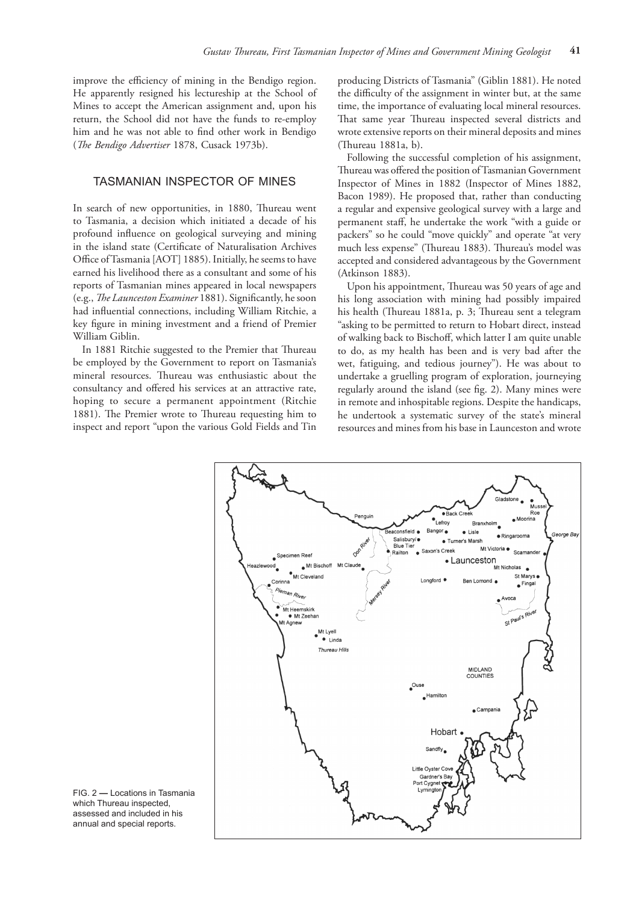improve the efficiency of mining in the Bendigo region. He apparently resigned his lectureship at the School of Mines to accept the American assignment and, upon his return, the School did not have the funds to re-employ him and he was not able to find other work in Bendigo (*The Bendigo Advertiser* 1878, Cusack 1973b).

# TASMANIAN INSPECTOR OF MINES

In search of new opportunities, in 1880, Thureau went to Tasmania, a decision which initiated a decade of his profound influence on geological surveying and mining in the island state (Certificate of Naturalisation Archives Office of Tasmania [AOT] 1885). Initially, he seems to have earned his livelihood there as a consultant and some of his reports of Tasmanian mines appeared in local newspapers (e.g., *The Launceston Examiner* 1881). Significantly, he soon had influential connections, including William Ritchie, a key figure in mining investment and a friend of Premier William Giblin.

In 1881 Ritchie suggested to the Premier that Thureau be employed by the Government to report on Tasmania's mineral resources. Thureau was enthusiastic about the consultancy and offered his services at an attractive rate, hoping to secure a permanent appointment (Ritchie 1881). The Premier wrote to Thureau requesting him to inspect and report "upon the various Gold Fields and Tin

producing Districts of Tasmania" (Giblin 1881). He noted the difficulty of the assignment in winter but, at the same time, the importance of evaluating local mineral resources. That same year Thureau inspected several districts and wrote extensive reports on their mineral deposits and mines (Thureau 1881a, b).

Following the successful completion of his assignment, Thureau was offered the position of Tasmanian Government Inspector of Mines in 1882 (Inspector of Mines 1882, Bacon 1989). He proposed that, rather than conducting a regular and expensive geological survey with a large and permanent staff, he undertake the work "with a guide or packers" so he could "move quickly" and operate "at very much less expense" (Thureau 1883). Thureau's model was accepted and considered advantageous by the Government (Atkinson 1883).

Upon his appointment, Thureau was 50 years of age and his long association with mining had possibly impaired his health (Thureau 1881a, p. 3; Thureau sent a telegram "asking to be permitted to return to Hobart direct, instead of walking back to Bischoff, which latter I am quite unable to do, as my health has been and is very bad after the wet, fatiguing, and tedious journey"). He was about to undertake a gruelling program of exploration, journeying regularly around the island (see fig. 2). Many mines were in remote and inhospitable regions. Despite the handicaps, he undertook a systematic survey of the state's mineral resources and mines from his base in Launceston and wrote



FIG. 2 **—** Locations in Tasmania which Thureau inspected, assessed and included in his annual and special reports.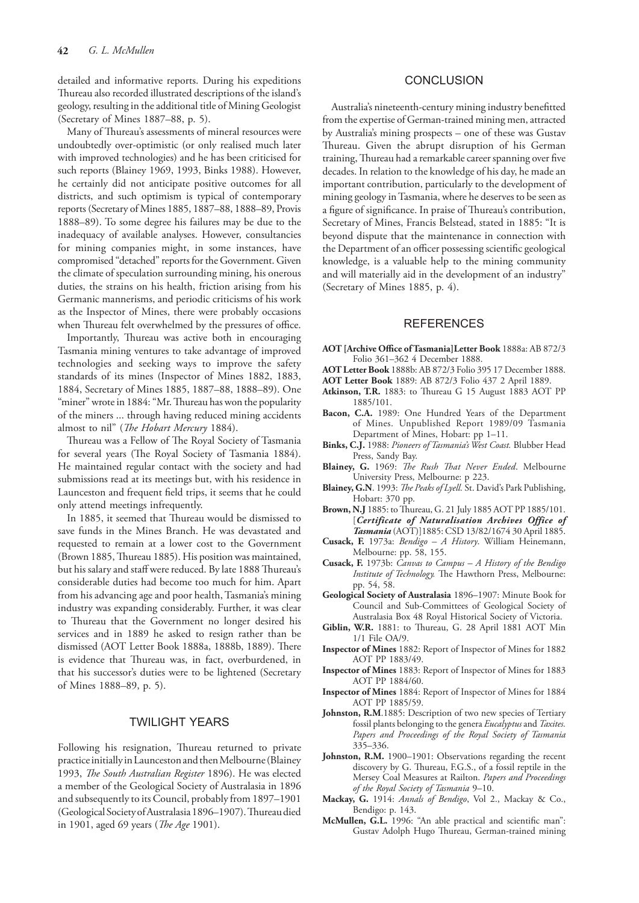detailed and informative reports. During his expeditions Thureau also recorded illustrated descriptions of the island's geology, resulting in the additional title of Mining Geologist (Secretary of Mines 1887–88, p. 5).

Many of Thureau's assessments of mineral resources were undoubtedly over-optimistic (or only realised much later with improved technologies) and he has been criticised for such reports (Blainey 1969, 1993, Binks 1988). However, he certainly did not anticipate positive outcomes for all districts, and such optimism is typical of contemporary reports (Secretary of Mines 1885, 1887–88, 1888–89, Provis 1888–89). To some degree his failures may be due to the inadequacy of available analyses. However, consultancies for mining companies might, in some instances, have compromised "detached" reports for the Government. Given the climate of speculation surrounding mining, his onerous duties, the strains on his health, friction arising from his Germanic mannerisms, and periodic criticisms of his work as the Inspector of Mines, there were probably occasions when Thureau felt overwhelmed by the pressures of office.

Importantly, Thureau was active both in encouraging Tasmania mining ventures to take advantage of improved technologies and seeking ways to improve the safety standards of its mines (Inspector of Mines 1882, 1883, 1884, Secretary of Mines 1885, 1887–88, 1888–89). One "miner" wrote in 1884: "Mr. Thureau has won the popularity of the miners ... through having reduced mining accidents almost to nil" (*The Hobart Mercury* 1884).

Thureau was a Fellow of The Royal Society of Tasmania for several years (The Royal Society of Tasmania 1884). He maintained regular contact with the society and had submissions read at its meetings but, with his residence in Launceston and frequent field trips, it seems that he could only attend meetings infrequently.

In 1885, it seemed that Thureau would be dismissed to save funds in the Mines Branch. He was devastated and requested to remain at a lower cost to the Government (Brown 1885, Thureau 1885). His position was maintained, but his salary and staff were reduced. By late 1888 Thureau's considerable duties had become too much for him. Apart from his advancing age and poor health, Tasmania's mining industry was expanding considerably. Further, it was clear to Thureau that the Government no longer desired his services and in 1889 he asked to resign rather than be dismissed (AOT Letter Book 1888a, 1888b, 1889). There is evidence that Thureau was, in fact, overburdened, in that his successor's duties were to be lightened (Secretary of Mines 1888–89, p. 5).

# TWILIGHT YEARS

Following his resignation, Thureau returned to private practice initially in Launceston and then Melbourne (Blainey 1993, *The South Australian Register* 1896). He was elected a member of the Geological Society of Australasia in 1896 and subsequently to its Council, probably from 1897–1901 (Geological Society of Australasia 1896–1907). Thureau died in 1901, aged 69 years (*The Age* 1901).

#### **CONCLUSION**

Australia's nineteenth-century mining industry benefitted from the expertise of German-trained mining men, attracted by Australia's mining prospects – one of these was Gustav Thureau. Given the abrupt disruption of his German training, Thureau had a remarkable career spanning over five decades. In relation to the knowledge of his day, he made an important contribution, particularly to the development of mining geology in Tasmania, where he deserves to be seen as a figure of significance. In praise of Thureau's contribution, Secretary of Mines, Francis Belstead, stated in 1885: "It is beyond dispute that the maintenance in connection with the Department of an officer possessing scientific geological knowledge, is a valuable help to the mining community and will materially aid in the development of an industry" (Secretary of Mines 1885, p. 4).

# **REFERENCES**

- **AOT [Archive Office of Tasmania]Letter Book** 1888a: AB 872/3 Folio 361–362 4 December 1888.
- **AOT Letter Book** 1888b: AB 872/3 Folio 395 17 December 1888.
- **AOT Letter Book** 1889: AB 872/3 Folio 437 2 April 1889.
- **Atkinson, T.R.** 1883: to Thureau G 15 August 1883 AOT PP 1885/101.
- **Bacon, C.A.** 1989: One Hundred Years of the Department of Mines. Unpublished Report 1989/09 Tasmania Department of Mines, Hobart: pp 1–11.
- **Binks, C.J.** 1988: *Pioneers of Tasmania's West Coast.* Blubber Head Press, Sandy Bay.
- **Blainey, G.** 1969: *The Rush That Never Ended*. Melbourne University Press, Melbourne: p 223.
- **Blainey, G.N**. 1993: *The Peaks of Lyell.* St. David's Park Publishing, Hobart: 370 pp.
- **Brown, N.J** 1885: to Thureau, G. 21 July 1885 AOT PP 1885/101. [*Certificate of Naturalisation Archives Office of Tasmania* (AOT)]1885: CSD 13/82/1674 30 April 1885.
- **Cusack, F.** 1973a: *Bendigo A History*. William Heinemann, Melbourne: pp. 58, 155.
- **Cusack, F.** 1973b: *Canvas to Campus A History of the Bendigo Institute of Technology.* The Hawthorn Press, Melbourne: pp. 54, 58.
- **Geological Society of Australasia** 1896–1907: Minute Book for Council and Sub-Committees of Geological Society of Australasia Box 48 Royal Historical Society of Victoria.
- **Giblin, W.R.** 1881: to Thureau, G. 28 April 1881 AOT Min 1/1 File OA/9.
- **Inspector of Mines** 1882: Report of Inspector of Mines for 1882 AOT PP 1883/49.
- **Inspector of Mines** 1883: Report of Inspector of Mines for 1883 AOT PP 1884/60.
- **Inspector of Mines** 1884: Report of Inspector of Mines for 1884 AOT PP 1885/59.
- **Johnston, R.M**.1885: Description of two new species of Tertiary fossil plants belonging to the genera *Eucalyptus* and *Taxites. Papers and Proceedings of the Royal Society of Tasmania*  335–336.
- Johnston, R.M. 1900-1901: Observations regarding the recent discovery by G. Thureau, F.G.S., of a fossil reptile in the Mersey Coal Measures at Railton. *Papers and Proceedings of the Royal Society of Tasmania* 9–10.
- **Mackay, G.** 1914: *Annals of Bendigo*, Vol 2., Mackay & Co., Bendigo: p. 143.
- **McMullen, G.L.** 1996: "An able practical and scientific man": Gustav Adolph Hugo Thureau, German-trained mining